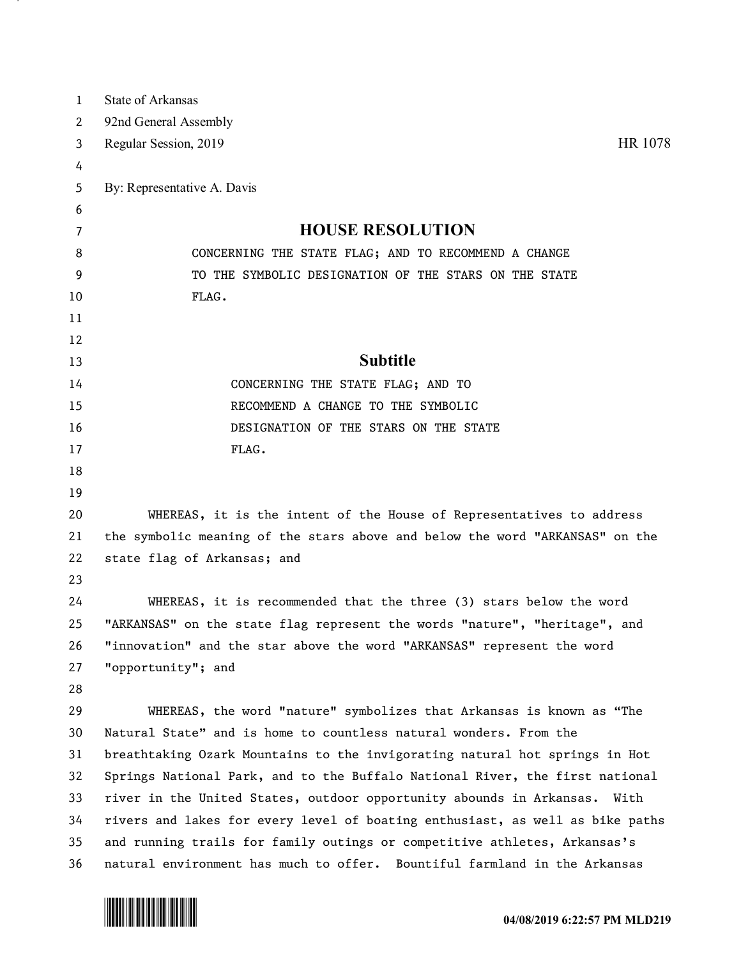| 1  | <b>State of Arkansas</b>                                                      |
|----|-------------------------------------------------------------------------------|
| 2  | 92nd General Assembly                                                         |
| 3  | HR 1078<br>Regular Session, 2019                                              |
| 4  |                                                                               |
| 5  | By: Representative A. Davis                                                   |
| 6  |                                                                               |
| 7  | <b>HOUSE RESOLUTION</b>                                                       |
| 8  | CONCERNING THE STATE FLAG; AND TO RECOMMEND A CHANGE                          |
| 9  | TO THE SYMBOLIC DESIGNATION OF THE STARS ON THE STATE                         |
| 10 | FLAG.                                                                         |
| 11 |                                                                               |
| 12 |                                                                               |
| 13 | <b>Subtitle</b>                                                               |
| 14 | CONCERNING THE STATE FLAG; AND TO                                             |
| 15 | RECOMMEND A CHANGE TO THE SYMBOLIC                                            |
| 16 | DESIGNATION OF THE STARS ON THE STATE                                         |
| 17 | FLAG.                                                                         |
| 18 |                                                                               |
| 19 |                                                                               |
| 20 | WHEREAS, it is the intent of the House of Representatives to address          |
| 21 | the symbolic meaning of the stars above and below the word "ARKANSAS" on the  |
| 22 | state flag of Arkansas; and                                                   |
| 23 |                                                                               |
| 24 | WHEREAS, it is recommended that the three (3) stars below the word            |
| 25 | "ARKANSAS" on the state flag represent the words "nature", "heritage", and    |
| 26 | "innovation" and the star above the word "ARKANSAS" represent the word        |
| 27 | "opportunity"; and                                                            |
| 28 |                                                                               |
| 29 | WHEREAS, the word "nature" symbolizes that Arkansas is known as "The          |
| 30 | Natural State" and is home to countless natural wonders. From the             |
| 31 | breathtaking Ozark Mountains to the invigorating natural hot springs in Hot   |
| 32 | Springs National Park, and to the Buffalo National River, the first national  |
| 33 | river in the United States, outdoor opportunity abounds in Arkansas. With     |
| 34 | rivers and lakes for every level of boating enthusiast, as well as bike paths |
| 35 | and running trails for family outings or competitive athletes, Arkansas's     |
| 36 | natural environment has much to offer. Bountiful farmland in the Arkansas     |



and the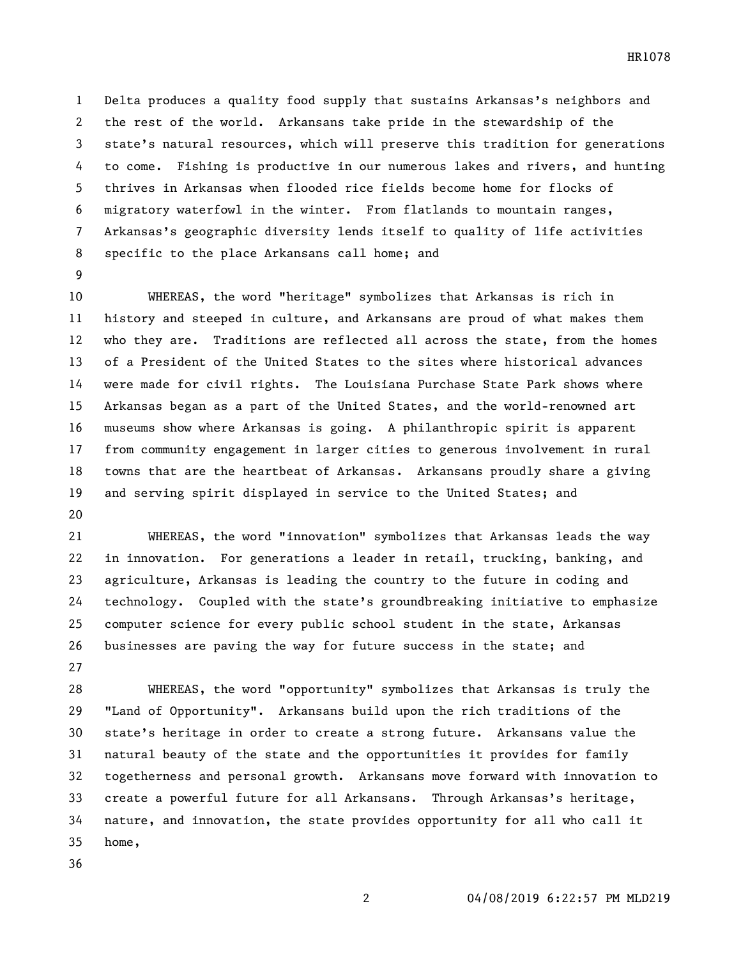Delta produces a quality food supply that sustains Arkansas's neighbors and the rest of the world. Arkansans take pride in the stewardship of the state's natural resources, which will preserve this tradition for generations to come. Fishing is productive in our numerous lakes and rivers, and hunting thrives in Arkansas when flooded rice fields become home for flocks of migratory waterfowl in the winter. From flatlands to mountain ranges, Arkansas's geographic diversity lends itself to quality of life activities specific to the place Arkansans call home; and

 WHEREAS, the word "heritage" symbolizes that Arkansas is rich in history and steeped in culture, and Arkansans are proud of what makes them who they are. Traditions are reflected all across the state, from the homes of a President of the United States to the sites where historical advances were made for civil rights. The Louisiana Purchase State Park shows where Arkansas began as a part of the United States, and the world-renowned art museums show where Arkansas is going. A philanthropic spirit is apparent from community engagement in larger cities to generous involvement in rural towns that are the heartbeat of Arkansas. Arkansans proudly share a giving and serving spirit displayed in service to the United States; and 

 WHEREAS, the word "innovation" symbolizes that Arkansas leads the way in innovation. For generations a leader in retail, trucking, banking, and agriculture, Arkansas is leading the country to the future in coding and technology. Coupled with the state's groundbreaking initiative to emphasize computer science for every public school student in the state, Arkansas businesses are paving the way for future success in the state; and 

 WHEREAS, the word "opportunity" symbolizes that Arkansas is truly the "Land of Opportunity". Arkansans build upon the rich traditions of the state's heritage in order to create a strong future. Arkansans value the natural beauty of the state and the opportunities it provides for family togetherness and personal growth. Arkansans move forward with innovation to create a powerful future for all Arkansans. Through Arkansas's heritage, nature, and innovation, the state provides opportunity for all who call it home,